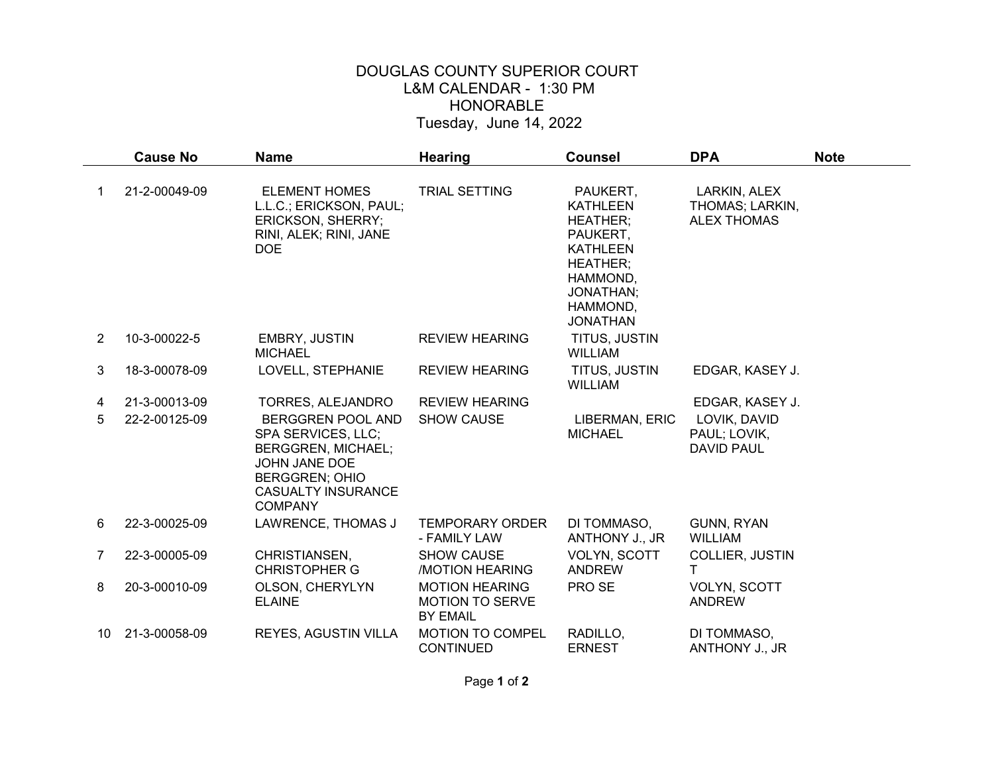## DOUGLAS COUNTY SUPERIOR COURT L&M CALENDAR - 1:30 PM HONORABLE Tuesday, June 14, 2022

|    | <b>Cause No</b> | <b>Name</b>                                                                                                                                                                 | <b>Hearing</b>                                                     | <b>Counsel</b>                                                                                                                                           | <b>DPA</b>                                            | <b>Note</b> |
|----|-----------------|-----------------------------------------------------------------------------------------------------------------------------------------------------------------------------|--------------------------------------------------------------------|----------------------------------------------------------------------------------------------------------------------------------------------------------|-------------------------------------------------------|-------------|
|    | 21-2-00049-09   | <b>ELEMENT HOMES</b><br>L.L.C.; ERICKSON, PAUL;<br><b>ERICKSON, SHERRY;</b><br>RINI, ALEK; RINI, JANE<br><b>DOE</b>                                                         | <b>TRIAL SETTING</b>                                               | PAUKERT,<br><b>KATHLEEN</b><br><b>HEATHER;</b><br>PAUKERT,<br><b>KATHLEEN</b><br><b>HEATHER:</b><br>HAMMOND,<br>JONATHAN:<br>HAMMOND,<br><b>JONATHAN</b> | LARKIN, ALEX<br>THOMAS; LARKIN,<br><b>ALEX THOMAS</b> |             |
| 2  | 10-3-00022-5    | EMBRY, JUSTIN<br><b>MICHAEL</b>                                                                                                                                             | <b>REVIEW HEARING</b>                                              | TITUS, JUSTIN<br><b>WILLIAM</b>                                                                                                                          |                                                       |             |
| 3  | 18-3-00078-09   | LOVELL, STEPHANIE                                                                                                                                                           | <b>REVIEW HEARING</b>                                              | TITUS, JUSTIN<br><b>WILLIAM</b>                                                                                                                          | EDGAR, KASEY J.                                       |             |
| 4  | 21-3-00013-09   | TORRES, ALEJANDRO                                                                                                                                                           | <b>REVIEW HEARING</b>                                              |                                                                                                                                                          | EDGAR, KASEY J.                                       |             |
| 5  | 22-2-00125-09   | <b>BERGGREN POOL AND</b><br>SPA SERVICES, LLC;<br><b>BERGGREN, MICHAEL;</b><br><b>JOHN JANE DOE</b><br><b>BERGGREN; OHIO</b><br><b>CASUALTY INSURANCE</b><br><b>COMPANY</b> | <b>SHOW CAUSE</b>                                                  | LIBERMAN, ERIC<br><b>MICHAEL</b>                                                                                                                         | LOVIK, DAVID<br>PAUL; LOVIK,<br><b>DAVID PAUL</b>     |             |
| 6  | 22-3-00025-09   | LAWRENCE, THOMAS J                                                                                                                                                          | <b>TEMPORARY ORDER</b><br>- FAMILY LAW                             | DI TOMMASO,<br>ANTHONY J., JR                                                                                                                            | GUNN, RYAN<br><b>WILLIAM</b>                          |             |
| 7  | 22-3-00005-09   | CHRISTIANSEN,<br><b>CHRISTOPHER G</b>                                                                                                                                       | <b>SHOW CAUSE</b><br><b>MOTION HEARING</b>                         | VOLYN, SCOTT<br><b>ANDREW</b>                                                                                                                            | COLLIER, JUSTIN<br>т                                  |             |
| 8  | 20-3-00010-09   | OLSON, CHERYLYN<br><b>ELAINE</b>                                                                                                                                            | <b>MOTION HEARING</b><br><b>MOTION TO SERVE</b><br><b>BY EMAIL</b> | PRO SE                                                                                                                                                   | VOLYN, SCOTT<br><b>ANDREW</b>                         |             |
| 10 | 21-3-00058-09   | REYES, AGUSTIN VILLA                                                                                                                                                        | <b>MOTION TO COMPEL</b><br><b>CONTINUED</b>                        | RADILLO,<br><b>ERNEST</b>                                                                                                                                | DI TOMMASO,<br>ANTHONY J., JR                         |             |